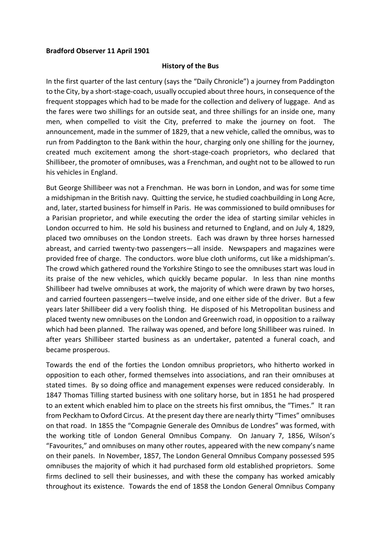## **Bradford Observer 11 April 1901**

## **History of the Bus**

In the first quarter of the last century (says the "Daily Chronicle") a journey from Paddington to the City, by a short-stage-coach, usually occupied about three hours, in consequence of the frequent stoppages which had to be made for the collection and delivery of luggage. And as the fares were two shillings for an outside seat, and three shillings for an inside one, many men, when compelled to visit the City, preferred to make the journey on foot. The announcement, made in the summer of 1829, that a new vehicle, called the omnibus, was to run from Paddington to the Bank within the hour, charging only one shilling for the journey, created much excitement among the short-stage-coach proprietors, who declared that Shillibeer, the promoter of omnibuses, was a Frenchman, and ought not to be allowed to run his vehicles in England.

But George Shillibeer was not a Frenchman. He was born in London, and was for some time a midshipman in the British navy. Quitting the service, he studied coachbuilding in Long Acre, and, later, started business for himself in Paris. He was commissioned to build omnibuses for a Parisian proprietor, and while executing the order the idea of starting similar vehicles in London occurred to him. He sold his business and returned to England, and on July 4, 1829, placed two omnibuses on the London streets. Each was drawn by three horses harnessed abreast, and carried twenty-two passengers—all inside. Newspapers and magazines were provided free of charge. The conductors. wore blue cloth uniforms, cut like a midshipman's. The crowd which gathered round the Yorkshire Stingo to see the omnibuses start was loud in its praise of the new vehicles, which quickly became popular. In less than nine months Shillibeer had twelve omnibuses at work, the majority of which were drawn by two horses, and carried fourteen passengers—twelve inside, and one either side of the driver. But a few years later Shillibeer did a very foolish thing. He disposed of his Metropolitan business and placed twenty new omnibuses on the London and Greenwich road, in opposition to a railway which had been planned. The railway was opened, and before long Shillibeer was ruined. In after years Shillibeer started business as an undertaker, patented a funeral coach, and became prosperous.

Towards the end of the forties the London omnibus proprietors, who hitherto worked in opposition to each other, formed themselves into associations, and ran their omnibuses at stated times. By so doing office and management expenses were reduced considerably. In 1847 Thomas Tilling started business with one solitary horse, but in 1851 he had prospered to an extent which enabled him to place on the streets his first omnibus, the "Times." It ran from Peckham to Oxford Circus. At the present day there are nearly thirty "Times" omnibuses on that road. In 1855 the "Compagnie Generale des Omnibus de Londres" was formed, with the working title of London General Omnibus Company. On January 7, 1856, Wilson's "Favourites," and omnibuses on many other routes, appeared with the new company's name on their panels. In November, 1857, The London General Omnibus Company possessed 595 omnibuses the majority of which it had purchased form old established proprietors. Some firms declined to sell their businesses, and with these the company has worked amicably throughout its existence. Towards the end of 1858 the London General Omnibus Company